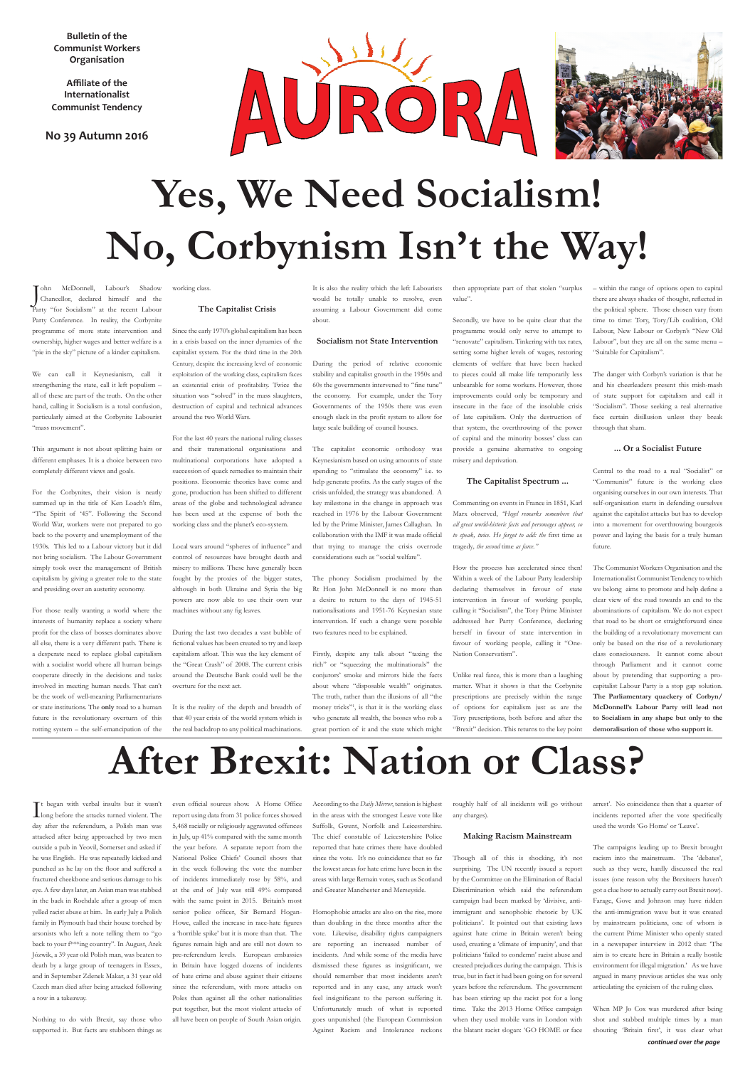**Bulletin of the Communist Workers Organisation**

**Affiliate of the Internationalist Communist Tendency** 

#### **No 39 Autumn 2016**



# **Yes, We Need Socialism! No, Corbynism Isn't the Way!**

J ohn McDonnell, Labour's Shadow Chancellor, declared himself and the Party "for Socialism" at the recent Labour Party Conference. In reality, the Corbynite programme of more state intervention and ownership, higher wages and better welfare is a "pie in the sky" picture of a kinder capitalism.

We can call it Keynesianism, call it strengthening the state, call it left populism – all of these are part of the truth. On the other hand, calling it Socialism is a total confusion, particularly aimed at the Corbynite Labourist "mass movement".

This argument is not about splitting hairs or different emphases. It is a choice between two completely different views and goals.

For the Corbynites, their vision is neatly summed up in the title of Ken Loach's film, "The Spirit of '45". Following the Second World War, workers were not prepared to go back to the poverty and unemployment of the 1930s. This led to a Labour victory but it did not bring socialism. The Labour Government simply took over the management of British capitalism by giving a greater role to the state and presiding over an austerity economy.

For those really wanting a world where the interests of humanity replace a society where profit for the class of bosses dominates above all else, there is a very different path. There is a desperate need to replace global capitalism with a socialist world where all human beings cooperate directly in the decisions and tasks involved in meeting human needs. That can't be the work of well-meaning Parliamentarians or state institutions. The **only** road to a human future is the revolutionary overturn of this rotting system – the self-emancipation of the

working class.

#### **The Capitalist Crisis**

Since the early 1970's global capitalism has been in a crisis based on the inner dynamics of the capitalist system. For the third time in the 20th Century, despite the increasing level of economic exploitation of the working class, capitalism faces an existential crisis of profitability. Twice the situation was "solved" in the mass slaughters, destruction of capital and technical advances around the two World Wars.

For the last 40 years the national ruling classes and their transnational organisations and multinational corporations have adopted a succession of quack remedies to maintain their positions. Economic theories have come and gone, production has been shifted to different areas of the globe and technological advance has been used at the expense of both the working class and the planet's eco-system.

Local wars around "spheres of influence" and control of resources have brought death and misery to millions. These have generally been fought by the proxies of the bigger states, although in both Ukraine and Syria the big powers are now able to use their own war machines without any fig leaves.

During the last two decades a vast bubble of fictional values has been created to try and keep capitalism afloat. This was the key element of the "Great Crash" of 2008. The current crisis around the Deutsche Bank could well be the overture for the next act.

It is the reality of the depth and breadth of that 40 year crisis of the world system which is the real backdrop to any political machinations. It is also the reality which the left Labourists would be totally unable to resolve, even assuming a Labour Government did come about.

#### **Socialism not State Intervention**

During the period of relative economic stability and capitalist growth in the 1950s and 60s the governments intervened to "fine tune" the economy. For example, under the Tory Governments of the 1950s there was even enough slack in the profit system to allow for large scale building of council houses.

The capitalist economic orthodoxy was Keynesianism based on using amounts of state spending to "stimulate the economy" i.e. to help generate profits. As the early stages of the crisis unfolded, the strategy was abandoned. A key milestone in the change in approach was reached in 1976 by the Labour Government led by the Prime Minister, James Callaghan. In collaboration with the IMF it was made official that trying to manage the crisis overrode considerations such as "social welfare".

The phoney Socialism proclaimed by the Rt Hon John McDonnell is no more than a desire to return to the days of 1945-51 nationalisations and 1951-76 Keynesian state intervention. If such a change were possible two features need to be explained.

It began with verbal insults but it wasn't<br>long before the attacks turned violent. The day after the referendum, a Polish man was attacked after being approached by two men outside a pub in Yeovil, Somerset and asked if he was English. He was repeatedly kicked and punched as he lay on the floor and suffered a fractured cheekbone and serious damage to his eye. A few days later, an Asian man was stabbed in the back in Rochdale after a group of men yelled racist abuse at him. In early July a Polish family in Plymouth had their house torched by arsonists who left a note telling them to "go back to your f\*\*\*ing country". In August, Arek Józwik, a 39 year old Polish man, was beaten to death by a large group of teenagers in Essex, and in September Zdenek Makar, a 31 year old Czech man died after being attacked following a row in a takeaway.

Firstly, despite any talk about "taxing the rich" or "squeezing the multinationals" the conjurors' smoke and mirrors hide the facts about where "disposable wealth" originates. The truth, rather than the illusions of all "the money tricks"1 , is that it is the working class who generate all wealth, the bosses who rob a great portion of it and the state which might

then appropriate part of that stolen "surplus value".

Secondly, we have to be quite clear that the programme would only serve to attempt to "renovate" capitalism. Tinkering with tax rates, setting some higher levels of wages, restoring elements of welfare that have been hacked to pieces could all make life temporarily less unbearable for some workers. However, those improvements could only be temporary and insecure in the face of the insoluble crisis of late capitalism. Only the destruction of that system, the overthrowing of the power of capital and the minority bosses' class can provide a genuine alternative to ongoing misery and deprivation.

#### **The Capitalist Spectrum ...**

Commenting on events in France in 1851, Karl Marx observed, *"Hegel remarks somewhere that all great world-historic facts and personages appear, so to speak, twice. He forgot to add: the* first time as tragedy*, the second* time *as farce."*

How the process has accelerated since then! Within a week of the Labour Party leadership declaring themselves in favour of state intervention in favour of working people, calling it "Socialism", the Tory Prime Minister addressed her Party Conference, declaring herself in favour of state intervention in favour of working people, calling it "One-Nation Conservatism".

> *continued over the page* When MP Jo Cox was murdered after being shot and stabbed multiple times by a man shouting 'Britain first', it was clear what

Unlike real farce, this is more than a laughing matter. What it shows is that the Corbynite prescriptions are precisely within the range of options for capitalism just as are the Tory prescriptions, both before and after the "Brexit" decision. This returns to the key point

– within the range of options open to capital there are always shades of thought, reflected in the political sphere. Those chosen vary from time to time: Tory, Tory/Lib coalition, Old Labour, New Labour or Corbyn's "New Old Labour", but they are all on the same menu – "Suitable for Capitalism".

The danger with Corbyn's variation is that he and his cheerleaders present this mish-mash of state support for capitalism and call it "Socialism". Those seeking a real alternative face certain disillusion unless they break through that sham.

#### **... Or a Socialist Future**

Central to the road to a real "Socialist" or "Communist" future is the working class organising ourselves in our own interests. That self-organisation starts in defending ourselves against the capitalist attacks but has to develop into a movement for overthrowing bourgeois power and laying the basis for a truly human future.

The Communist Workers Organisation and the Internationalist Communist Tendency to which we belong aims to promote and help define a clear view of the road towards an end to the abominations of capitalism. We do not expect that road to be short or straightforward since the building of a revolutionary movement can only be based on the rise of a revolutionary class consciousness. It cannot come about through Parliament and it cannot come about by pretending that supporting a procapitalist Labour Party is a stop gap solution. **The Parliamentary quackery of Corbyn/ McDonnell's Labour Party will lead not to Socialism in any shape but only to the demoralisation of those who support it.**

## **After Brexit: Nation or Class?**

Nothing to do with Brexit, say those who supported it. But facts are stubborn things as

report using data from 31 police forces showed 5,468 racially or religiously aggravated offences in July, up 41% compared with the same month the year before. A separate report from the National Police Chiefs' Council shows that in the week following the vote the number of incidents immediately rose by 58%, and at the end of July was still 49% compared with the same point in 2015. Britain's most senior police officer, Sir Bernard Hogan-Howe, called the increase in race-hate figures a 'horrible spike' but it is more than that. The figures remain high and are still not down to pre-referendum levels. European embassies in Britain have logged dozens of incidents of hate crime and abuse against their citizens since the referendum, with more attacks on Poles than against all the other nationalities put together, but the most violent attacks of all have been on people of South Asian origin.

in the areas with the strongest Leave vote like Suffolk, Gwent, Norfolk and Leicestershire. The chief constable of Leicestershire Police reported that hate crimes there have doubled since the vote. It's no coincidence that so far the lowest areas for hate crime have been in the areas with large Remain votes, such as Scotland and Greater Manchester and Merseyside. Homophobic attacks are also on the rise, more

than doubling in the three months after the vote. Likewise, disability rights campaigners are reporting an increased number of incidents. And while some of the media have dismissed these figures as insignificant, we should remember that most incidents aren't reported and in any case, any attack won't feel insignificant to the person suffering it. Unfortunately much of what is reported goes unpunished (the European Commission Against Racism and Intolerance reckons

any charges).

#### **Making Racism Mainstream**

Though all of this is shocking, it's not surprising. The UN recently issued a report by the Committee on the Elimination of Racial Discrimination which said the referendum campaign had been marked by 'divisive, antiimmigrant and xenophobic rhetoric by UK politicians'. It pointed out that existing laws against hate crime in Britain weren't being used, creating a 'climate of impunity', and that politicians 'failed to condemn' racist abuse and created prejudices during the campaign. This is true, but in fact it had been going on for several years before the referendum. The government has been stirring up the racist pot for a long time. Take the 2013 Home Office campaign when they used mobile vans in London with the blatant racist slogan: 'GO HOME or face

incidents reported after the vote specifically used the words 'Go Home' or 'Leave'.

The campaigns leading up to Brexit brought racism into the mainstream. The 'debates', such as they were, hardly discussed the real issues (one reason why the Brexiteers haven't got a clue how to actually carry out Brexit now). Farage, Gove and Johnson may have ridden the anti-immigration wave but it was created by mainstream politicians, one of whom is the current Prime Minister who openly stated in a newspaper interview in 2012 that: 'The aim is to create here in Britain a really hostile environment for illegal migration.' As we have argued in many previous articles she was only articulating the cynicism of the ruling class.